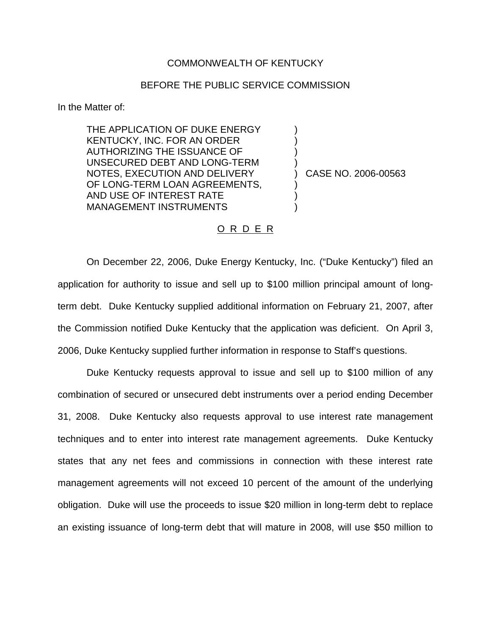## COMMONWEALTH OF KENTUCKY

## BEFORE THE PUBLIC SERVICE COMMISSION

) ) ) )

) ) )

In the Matter of:

THE APPLICATION OF DUKE ENERGY KENTUCKY, INC. FOR AN ORDER AUTHORIZING THE ISSUANCE OF UNSECURED DEBT AND LONG-TERM NOTES, EXECUTION AND DELIVERY OF LONG-TERM LOAN AGREEMENTS, AND USE OF INTEREST RATE MANAGEMENT INSTRUMENTS

) CASE NO. 2006-00563

## O R D E R

On December 22, 2006, Duke Energy Kentucky, Inc. ("Duke Kentucky") filed an application for authority to issue and sell up to \$100 million principal amount of longterm debt. Duke Kentucky supplied additional information on February 21, 2007, after the Commission notified Duke Kentucky that the application was deficient. On April 3, 2006, Duke Kentucky supplied further information in response to Staff's questions.

Duke Kentucky requests approval to issue and sell up to \$100 million of any combination of secured or unsecured debt instruments over a period ending December 31, 2008. Duke Kentucky also requests approval to use interest rate management techniques and to enter into interest rate management agreements. Duke Kentucky states that any net fees and commissions in connection with these interest rate management agreements will not exceed 10 percent of the amount of the underlying obligation. Duke will use the proceeds to issue \$20 million in long-term debt to replace an existing issuance of long-term debt that will mature in 2008, will use \$50 million to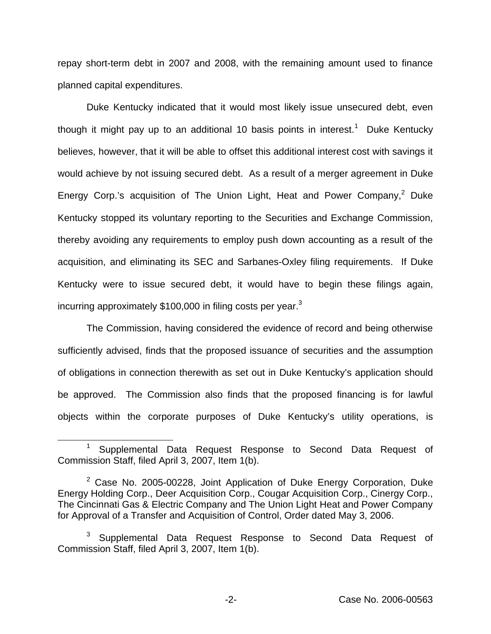repay short-term debt in 2007 and 2008, with the remaining amount used to finance planned capital expenditures.

Duke Kentucky indicated that it would most likely issue unsecured debt, even though it might pay up to an additional 10 basis points in interest.<sup>1</sup> Duke Kentucky believes, however, that it will be able to offset this additional interest cost with savings it would achieve by not issuing secured debt. As a result of a merger agreement in Duke Energy Corp.'s acquisition of The Union Light, Heat and Power Company, $^2$  Duke Kentucky stopped its voluntary reporting to the Securities and Exchange Commission, thereby avoiding any requirements to employ push down accounting as a result of the acquisition, and eliminating its SEC and Sarbanes-Oxley filing requirements. If Duke Kentucky were to issue secured debt, it would have to begin these filings again, incurring approximately \$100,000 in filing costs per vear.<sup>3</sup>

The Commission, having considered the evidence of record and being otherwise sufficiently advised, finds that the proposed issuance of securities and the assumption of obligations in connection therewith as set out in Duke Kentucky's application should be approved. The Commission also finds that the proposed financing is for lawful objects within the corporate purposes of Duke Kentucky's utility operations, is

<sup>&</sup>lt;sup>1</sup> Supplemental Data Request Response to Second Data Request of Commission Staff, filed April 3, 2007, Item 1(b).

 $2$  Case No. 2005-00228, Joint Application of Duke Energy Corporation, Duke Energy Holding Corp., Deer Acquisition Corp., Cougar Acquisition Corp., Cinergy Corp., The Cincinnati Gas & Electric Company and The Union Light Heat and Power Company for Approval of a Transfer and Acquisition of Control, Order dated May 3, 2006.

<sup>3</sup> Supplemental Data Request Response to Second Data Request of Commission Staff, filed April 3, 2007, Item 1(b).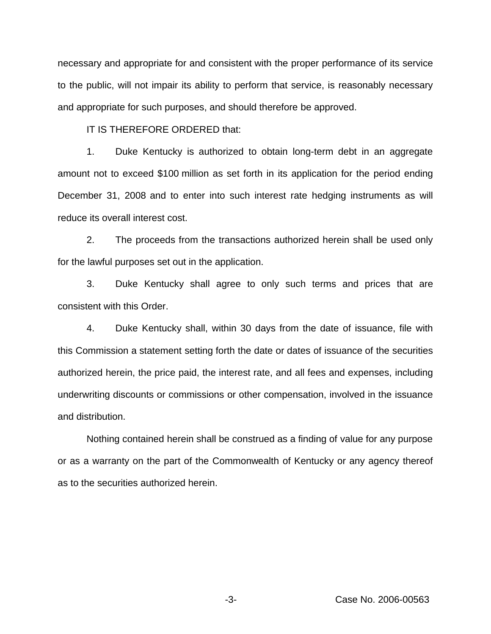necessary and appropriate for and consistent with the proper performance of its service to the public, will not impair its ability to perform that service, is reasonably necessary and appropriate for such purposes, and should therefore be approved.

IT IS THEREFORE ORDERED that:

1. Duke Kentucky is authorized to obtain long-term debt in an aggregate amount not to exceed \$100 million as set forth in its application for the period ending December 31, 2008 and to enter into such interest rate hedging instruments as will reduce its overall interest cost.

2. The proceeds from the transactions authorized herein shall be used only for the lawful purposes set out in the application.

3. Duke Kentucky shall agree to only such terms and prices that are consistent with this Order.

4. Duke Kentucky shall, within 30 days from the date of issuance, file with this Commission a statement setting forth the date or dates of issuance of the securities authorized herein, the price paid, the interest rate, and all fees and expenses, including underwriting discounts or commissions or other compensation, involved in the issuance and distribution.

Nothing contained herein shall be construed as a finding of value for any purpose or as a warranty on the part of the Commonwealth of Kentucky or any agency thereof as to the securities authorized herein.